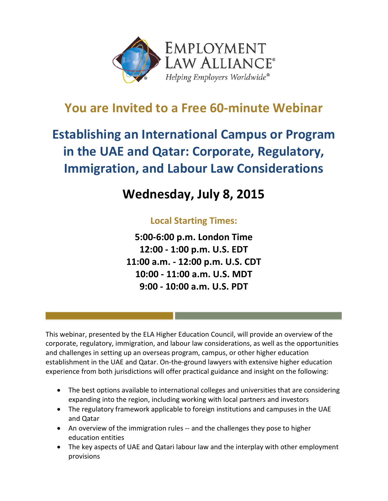

### **You are Invited to a Free 60-minute Webinar**

# **Establishing an International Campus or Program in the UAE and Qatar: Corporate, Regulatory, Immigration, and Labour Law Considerations**

## **Wednesday, July 8, 2015**

### **Local Starting Times:**

**5:00-6:00 p.m. London Time 12:00 - 1:00 p.m. U.S. EDT 11:00 a.m. - 12:00 p.m. U.S. CDT 10:00 - 11:00 a.m. U.S. MDT 9:00 - 10:00 a.m. U.S. PDT**

This webinar, presented by the ELA Higher Education Council, will provide an overview of the corporate, regulatory, immigration, and labour law considerations, as well as the opportunities and challenges in setting up an overseas program, campus, or other higher education establishment in the UAE and Qatar. On-the-ground lawyers with extensive higher education experience from both jurisdictions will offer practical guidance and insight on the following:

- The best options available to international colleges and universities that are considering expanding into the region, including working with local partners and investors
- The regulatory framework applicable to foreign institutions and campuses in the UAE and Qatar
- An overview of the immigration rules -- and the challenges they pose to higher education entities
- The key aspects of UAE and Qatari labour law and the interplay with other employment provisions